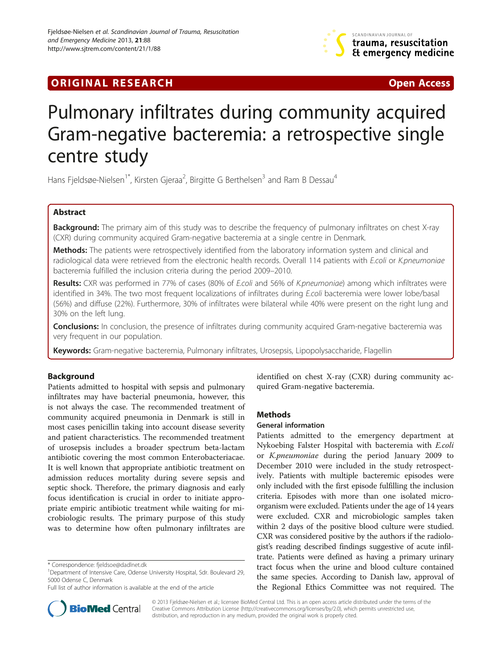

# **ORIGINAL RESEARCH CONFIDENTIAL CONSUMING A LIGHT CONFIDENTIAL CONSUMING A LIGHT CONFIDENTIAL CONFIDENTIAL CONSU**

# Pulmonary infiltrates during community acquired Gram-negative bacteremia: a retrospective single centre study

Hans Fjeldsøe-Nielsen<sup>1\*</sup>, Kirsten Gjeraa<sup>2</sup>, Birgitte G Berthelsen<sup>3</sup> and Ram B Dessau<sup>4</sup>

# Abstract

Background: The primary aim of this study was to describe the frequency of pulmonary infiltrates on chest X-ray (CXR) during community acquired Gram-negative bacteremia at a single centre in Denmark.

Methods: The patients were retrospectively identified from the laboratory information system and clinical and radiological data were retrieved from the electronic health records. Overall 114 patients with E.coli or K.pneumoniae bacteremia fulfilled the inclusion criteria during the period 2009–2010.

Results: CXR was performed in 77% of cases (80% of E.coli and 56% of K.pneumoniae) among which infiltrates were identified in 34%. The two most frequent localizations of infiltrates during E.coli bacteremia were lower lobe/basal (56%) and diffuse (22%). Furthermore, 30% of infiltrates were bilateral while 40% were present on the right lung and 30% on the left lung.

Conclusions: In conclusion, the presence of infiltrates during community acquired Gram-negative bacteremia was very frequent in our population.

Keywords: Gram-negative bacteremia, Pulmonary infiltrates, Urosepsis, Lipopolysaccharide, Flagellin

# Background

Patients admitted to hospital with sepsis and pulmonary infiltrates may have bacterial pneumonia, however, this is not always the case. The recommended treatment of community acquired pneumonia in Denmark is still in most cases penicillin taking into account disease severity and patient characteristics. The recommended treatment of urosepsis includes a broader spectrum beta-lactam antibiotic covering the most common Enterobacteriacae. It is well known that appropriate antibiotic treatment on admission reduces mortality during severe sepsis and septic shock. Therefore, the primary diagnosis and early focus identification is crucial in order to initiate appropriate empiric antibiotic treatment while waiting for microbiologic results. The primary purpose of this study was to determine how often pulmonary infiltrates are



### **Methods**

### General information

Patients admitted to the emergency department at Nykoebing Falster Hospital with bacteremia with E.coli or K.pneumoniae during the period January 2009 to December 2010 were included in the study retrospectively. Patients with multiple bacteremic episodes were only included with the first episode fulfilling the inclusion criteria. Episodes with more than one isolated microorganism were excluded. Patients under the age of 14 years were excluded. CXR and microbiologic samples taken within 2 days of the positive blood culture were studied. CXR was considered positive by the authors if the radiologist's reading described findings suggestive of acute infiltrate. Patients were defined as having a primary urinary tract focus when the urine and blood culture contained the same species. According to Danish law, approval of the Regional Ethics Committee was not required. The



© 2013 Fjeldsøe-Nielsen et al.; licensee BioMed Central Ltd. This is an open access article distributed under the terms of the Creative Commons Attribution License (<http://creativecommons.org/licenses/by/2.0>), which permits unrestricted use, distribution, and reproduction in any medium, provided the original work is properly cited.

<sup>\*</sup> Correspondence: [fjeldsoe@dadlnet.dk](mailto:fjeldsoe@dadlnet.dk) <sup>1</sup>

<sup>&</sup>lt;sup>1</sup>Department of Intensive Care, Odense University Hospital, Sdr. Boulevard 29, 5000 Odense C, Denmark

Full list of author information is available at the end of the article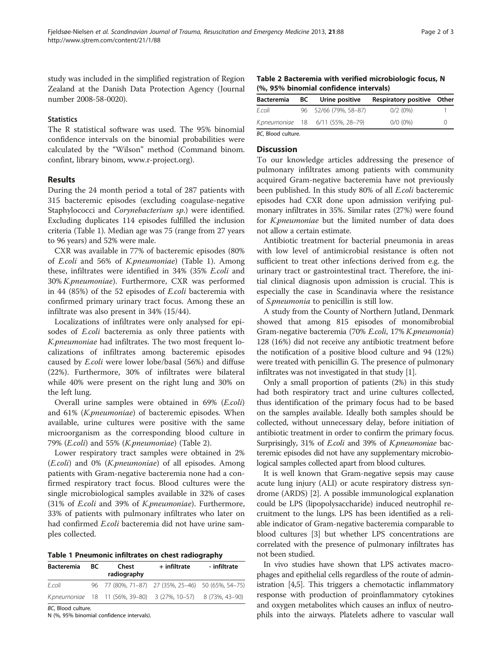study was included in the simplified registration of Region Zealand at the Danish Data Protection Agency (Journal number 2008-58-0020).

# **Statistics**

The R statistical software was used. The 95% binomial confidence intervals on the binomial probabilities were calculated by the "Wilson" method (Command binom. confint, library binom, [www.r-project.org\)](http://www.r-project.org).

# Results

During the 24 month period a total of 287 patients with 315 bacteremic episodes (excluding coagulase-negative Staphylococci and Corynebacterium sp.) were identified. Excluding duplicates 114 episodes fulfilled the inclusion criteria (Table 1). Median age was 75 (range from 27 years to 96 years) and 52% were male.

CXR was available in 77% of bacteremic episodes (80% of E.coli and 56% of K.pneumoniae) (Table 1). Among these, infiltrates were identified in 34% (35% E.coli and 30% K.pneumoniae). Furthermore, CXR was performed in 44 (85%) of the 52 episodes of E.coli bacteremia with confirmed primary urinary tract focus. Among these an infiltrate was also present in 34% (15/44).

Localizations of infiltrates were only analysed for episodes of *E.coli* bacteremia as only three patients with K.pneumoniae had infiltrates. The two most frequent localizations of infiltrates among bacteremic episodes caused by E.coli were lower lobe/basal (56%) and diffuse (22%). Furthermore, 30% of infiltrates were bilateral while 40% were present on the right lung and 30% on the left lung.

Overall urine samples were obtained in 69% (E.coli) and 61% (K.pneumoniae) of bacteremic episodes. When available, urine cultures were positive with the same microorganism as the corresponding blood culture in 79% (E.coli) and 55% (K.pneumoniae) (Table 2).

Lower respiratory tract samples were obtained in 2% (E.coli) and 0% (K.pneumoniae) of all episodes. Among patients with Gram-negative bacteremia none had a confirmed respiratory tract focus. Blood cultures were the single microbiological samples available in 32% of cases (31% of E.coli and 39% of K.pneumoniae). Furthermore, 33% of patients with pulmonary infiltrates who later on had confirmed *E.coli* bacteremia did not have urine samples collected.

Table 1 Pneumonic infiltrates on chest radiography

| <b>Bacteremia</b>  | BC. | Chest<br>radiography                                          | + infiltrate | - infiltrate |
|--------------------|-----|---------------------------------------------------------------|--------------|--------------|
| E.coli             |     | 96 77 (80%, 71-87) 27 (35%, 25-46) 50 (65%, 54-75)            |              |              |
|                    |     | K.pneumoniae 18 11 (56%, 39-80) 3 (27%, 10-57) 8 (73%, 43-90) |              |              |
| BC, Blood culture. |     |                                                               |              |              |

N (%, 95% binomial confidence intervals).

Table 2 Bacteremia with verified microbiologic focus, N (%, 95% binomial confidence intervals)

| BC | Urine positive | Respiratory positive Other                                 |  |
|----|----------------|------------------------------------------------------------|--|
|    |                | 0/2(0%)                                                    |  |
|    |                | $0/0$ (0%)                                                 |  |
|    |                | 96 52/66 (79%, 58-87)<br>K.pneumoniae 18 6/11 (55%, 28-79) |  |

BC, Blood culture.

# **Discussion**

To our knowledge articles addressing the presence of pulmonary infiltrates among patients with community acquired Gram-negative bacteremia have not previously been published. In this study 80% of all E.coli bacteremic episodes had CXR done upon admission verifying pulmonary infiltrates in 35%. Similar rates (27%) were found for K.pneumoniae but the limited number of data does not allow a certain estimate.

Antibiotic treatment for bacterial pneumonia in areas with low level of antimicrobial resistance is often not sufficient to treat other infections derived from e.g. the urinary tract or gastrointestinal tract. Therefore, the initial clinical diagnosis upon admission is crucial. This is especially the case in Scandinavia where the resistance of S.pneumonia to penicillin is still low.

A study from the County of Northern Jutland, Denmark showed that among 815 episodes of monomibrobial Gram-negative bacteremia (70% E.coli, 17% K.pneumonia) 128 (16%) did not receive any antibiotic treatment before the notification of a positive blood culture and 94 (12%) were treated with penicillin G. The presence of pulmonary infiltrates was not investigated in that study [\[1](#page-2-0)].

Only a small proportion of patients (2%) in this study had both respiratory tract and urine cultures collected, thus identification of the primary focus had to be based on the samples available. Ideally both samples should be collected, without unnecessary delay, before initiation of antibiotic treatment in order to confirm the primary focus. Surprisingly, 31% of *E.coli* and 39% of *K.pneumoniae* bacteremic episodes did not have any supplementary microbiological samples collected apart from blood cultures.

It is well known that Gram-negative sepsis may cause acute lung injury (ALI) or acute respiratory distress syndrome (ARDS) [\[2](#page-2-0)]. A possible immunological explanation could be LPS (lipopolysaccharide) induced neutrophil recruitment to the lungs. LPS has been identified as a reliable indicator of Gram-negative bacteremia comparable to blood cultures [\[3](#page-2-0)] but whether LPS concentrations are correlated with the presence of pulmonary infiltrates has not been studied.

In vivo studies have shown that LPS activates macrophages and epithelial cells regardless of the route of administration [\[4,5](#page-2-0)]. This triggers a chemotactic inflammatory response with production of proinflammatory cytokines and oxygen metabolites which causes an influx of neutrophils into the airways. Platelets adhere to vascular wall